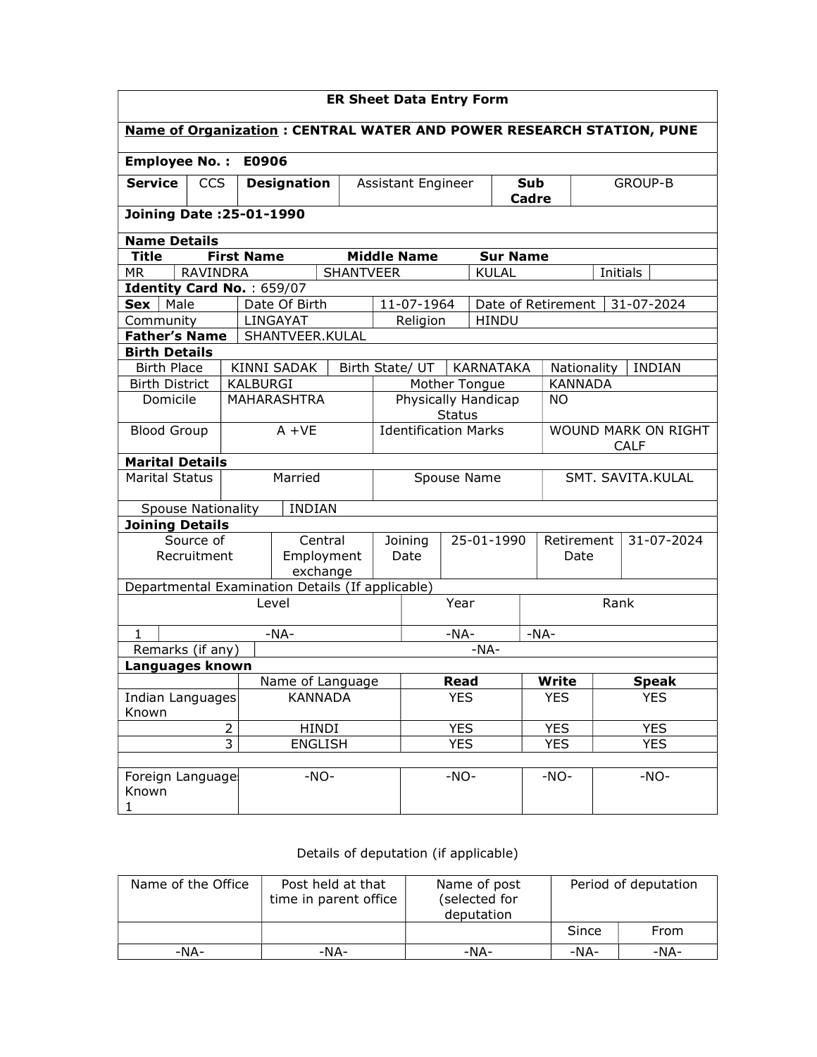| <b>ER Sheet Data Entry Form</b>                                             |                          |                                                                  |                        |                  |             |                                                                          |            |               |                 |                    |            |                |
|-----------------------------------------------------------------------------|--------------------------|------------------------------------------------------------------|------------------------|------------------|-------------|--------------------------------------------------------------------------|------------|---------------|-----------------|--------------------|------------|----------------|
| <b>Name of Organization: CENTRAL WATER AND POWER RESEARCH STATION, PUNE</b> |                          |                                                                  |                        |                  |             |                                                                          |            |               |                 |                    |            |                |
| <b>Employee No.:</b><br>E0906                                               |                          |                                                                  |                        |                  |             |                                                                          |            |               |                 |                    |            |                |
| <b>Service</b>                                                              | <b>CCS</b>               |                                                                  | <b>Designation</b>     |                  |             | Assistant Engineer                                                       |            |               | Sub             |                    |            | <b>GROUP-B</b> |
|                                                                             |                          |                                                                  |                        |                  |             |                                                                          |            | Cadre         |                 |                    |            |                |
|                                                                             | Joining Date: 25-01-1990 |                                                                  |                        |                  |             |                                                                          |            |               |                 |                    |            |                |
|                                                                             | <b>Name Details</b>      |                                                                  |                        |                  |             |                                                                          |            |               |                 |                    |            |                |
| <b>Title</b>                                                                |                          | <b>First Name</b>                                                |                        |                  |             | <b>Middle Name</b>                                                       |            |               | <b>Sur Name</b> |                    |            |                |
| МR                                                                          | <b>RAVINDRA</b>          |                                                                  |                        | <b>SHANTVEER</b> |             |                                                                          |            | <b>KULAL</b>  |                 |                    |            | Initials       |
| Identity Card No.: 659/07                                                   |                          |                                                                  |                        |                  |             |                                                                          |            |               |                 |                    |            |                |
| Male<br><b>Sex</b>                                                          |                          |                                                                  | Date Of Birth          |                  |             | 11-07-1964                                                               |            |               |                 | Date of Retirement |            | 31-07-2024     |
| Community                                                                   |                          |                                                                  | LINGAYAT               |                  |             | Religion                                                                 |            | <b>HINDU</b>  |                 |                    |            |                |
| <b>Father's Name</b>                                                        |                          |                                                                  | SHANTVEER.KULAL        |                  |             |                                                                          |            |               |                 |                    |            |                |
| <b>Birth Details</b>                                                        |                          |                                                                  |                        |                  |             |                                                                          |            |               |                 |                    |            |                |
| <b>Birth Place</b>                                                          |                          |                                                                  | <b>KINNI SADAK</b>     |                  |             | Birth State/ UT                                                          |            | KARNATAKA     |                 | Nationality        |            | <b>INDIAN</b>  |
| <b>Birth District</b>                                                       |                          | <b>KALBURGI</b>                                                  |                        |                  |             |                                                                          |            | Mother Tongue |                 | <b>KANNADA</b>     |            |                |
| Domicile                                                                    |                          | Physically Handicap<br>MAHARASHTRA<br><b>NO</b><br><b>Status</b> |                        |                  |             |                                                                          |            |               |                 |                    |            |                |
| <b>Blood Group</b>                                                          |                          |                                                                  | $A + VE$               |                  |             | <b>Identification Marks</b><br><b>WOUND MARK ON RIGHT</b><br><b>CALF</b> |            |               |                 |                    |            |                |
| <b>Marital Details</b>                                                      |                          |                                                                  |                        |                  |             |                                                                          |            |               |                 |                    |            |                |
| <b>Marital Status</b>                                                       |                          |                                                                  | Married                |                  | Spouse Name |                                                                          |            |               |                 | SMT. SAVITA.KULAL  |            |                |
| <b>Spouse Nationality</b>                                                   |                          |                                                                  | <b>INDIAN</b>          |                  |             |                                                                          |            |               |                 |                    |            |                |
| Joining Details                                                             |                          |                                                                  |                        |                  |             |                                                                          |            |               |                 |                    |            |                |
|                                                                             | Source of                |                                                                  | Central                |                  |             | 25-01-1990<br>Joining                                                    |            |               | Retirement      |                    | 31-07-2024 |                |
| Recruitment                                                                 |                          |                                                                  | Employment<br>exchange |                  |             | Date                                                                     |            |               | Date            |                    |            |                |
| Departmental Examination Details (If applicable)                            |                          |                                                                  |                        |                  |             |                                                                          |            |               |                 |                    |            |                |
|                                                                             |                          |                                                                  | Level                  |                  |             |                                                                          | Year       |               |                 |                    | Rank       |                |
| $\mathbf{1}$                                                                |                          |                                                                  | $-NA-$                 |                  | $-NA-$      |                                                                          |            | $-NA-$        |                 |                    |            |                |
| Remarks (if any)                                                            |                          |                                                                  |                        |                  |             |                                                                          |            | $-NA-$        |                 |                    |            |                |
| Languages known                                                             |                          |                                                                  |                        |                  |             |                                                                          |            |               |                 |                    |            |                |
|                                                                             |                          |                                                                  | Name of Language       |                  |             |                                                                          | Read       |               |                 | Write              |            | <b>Speak</b>   |
| Indian Languages<br>Known                                                   |                          |                                                                  | <b>KANNADA</b>         |                  |             |                                                                          | <b>YES</b> |               |                 | <b>YES</b>         |            | <b>YES</b>     |
|                                                                             |                          | $\overline{2}$                                                   | HINDI                  |                  |             |                                                                          | <b>YES</b> |               |                 | <b>YES</b>         |            | <b>YES</b>     |
|                                                                             |                          | $\overline{3}$                                                   | <b>ENGLISH</b>         |                  |             |                                                                          | <b>YES</b> |               |                 | <b>YES</b>         |            | <b>YES</b>     |
|                                                                             |                          |                                                                  |                        |                  |             |                                                                          |            |               |                 |                    |            |                |
| Foreign Language<br>Known<br>1                                              |                          |                                                                  | $-NO-$                 |                  |             |                                                                          | $-NO-$     |               |                 | $-NO-$             |            | $-NO-$         |

## Details of deputation (if applicable)

| Name of the Office | Post held at that<br>time in parent office | Name of post<br>(selected for<br>deputation | Period of deputation |      |  |
|--------------------|--------------------------------------------|---------------------------------------------|----------------------|------|--|
|                    |                                            |                                             | Since                | From |  |
| $-NA-$             | -NA-                                       | -NA-                                        | -NA-                 | -NA- |  |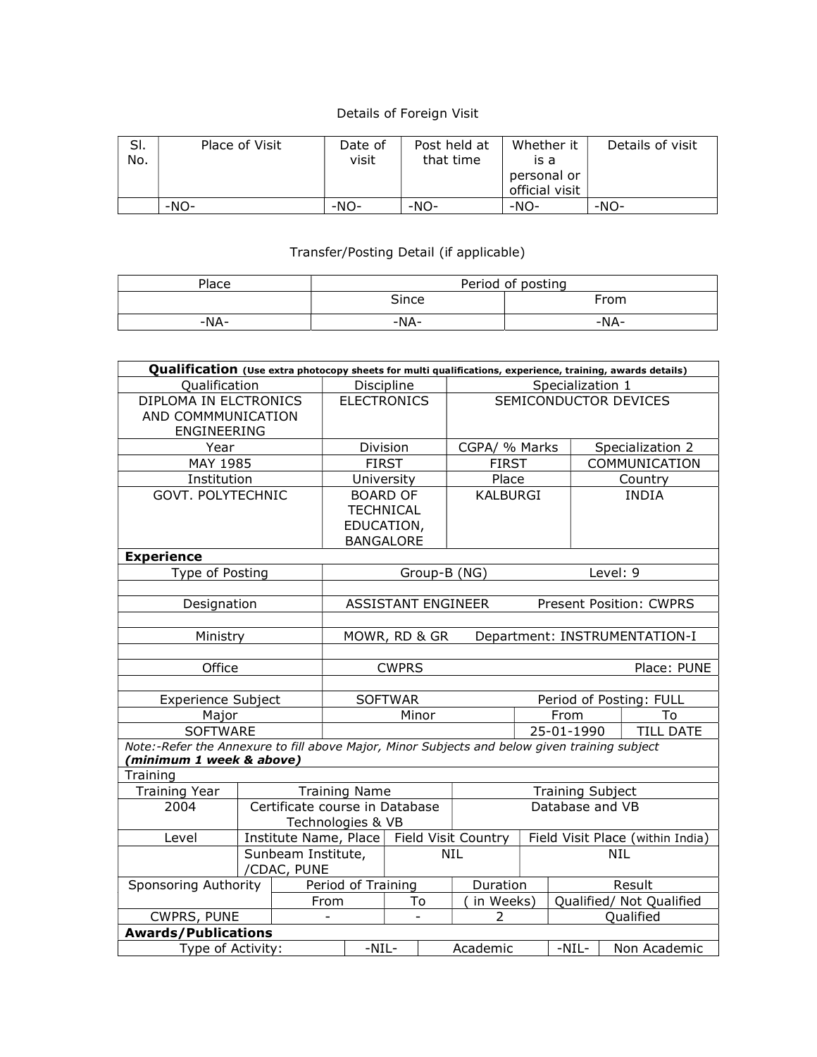## Details of Foreign Visit

| SI.<br>No. | Place of Visit | Date of<br>visit | Post held at<br>that time | Whether it<br>is a<br>personal or<br>official visit | Details of visit |
|------------|----------------|------------------|---------------------------|-----------------------------------------------------|------------------|
|            | -NO-           | $-NO-$           | $-NO-$                    | $-NO-$                                              | $-NO-$           |

## Transfer/Posting Detail (if applicable)

| Place | Period of posting |      |  |  |  |
|-------|-------------------|------|--|--|--|
|       | Since             | From |  |  |  |
| -NA-  | -NA-              | -NA- |  |  |  |

| Qualification (Use extra photocopy sheets for multi qualifications, experience, training, awards details) |                                  |             |                                                                                 |                                             |            |                  |                  |                          |                  |                                |
|-----------------------------------------------------------------------------------------------------------|----------------------------------|-------------|---------------------------------------------------------------------------------|---------------------------------------------|------------|------------------|------------------|--------------------------|------------------|--------------------------------|
| Qualification                                                                                             |                                  |             | Discipline                                                                      |                                             |            | Specialization 1 |                  |                          |                  |                                |
| DIPLOMA IN ELCTRONICS                                                                                     |                                  |             |                                                                                 | SEMICONDUCTOR DEVICES<br><b>ELECTRONICS</b> |            |                  |                  |                          |                  |                                |
| AND COMMMUNICATION                                                                                        |                                  |             |                                                                                 |                                             |            |                  |                  |                          |                  |                                |
| ENGINEERING                                                                                               |                                  |             |                                                                                 |                                             |            |                  |                  |                          |                  |                                |
| Year                                                                                                      |                                  |             |                                                                                 | Division<br>CGPA/ % Marks                   |            |                  |                  |                          | Specialization 2 |                                |
| MAY 1985                                                                                                  |                                  |             |                                                                                 | <b>FIRST</b>                                |            | <b>FIRST</b>     |                  |                          |                  | COMMUNICATION                  |
| Institution                                                                                               |                                  |             |                                                                                 | University                                  |            | Place            |                  |                          |                  | Country                        |
| GOVT. POLYTECHNIC                                                                                         |                                  |             |                                                                                 | <b>BOARD OF</b>                             |            | <b>KALBURGI</b>  |                  |                          |                  | <b>INDIA</b>                   |
|                                                                                                           |                                  |             |                                                                                 | <b>TECHNICAL</b>                            |            |                  |                  |                          |                  |                                |
|                                                                                                           |                                  |             |                                                                                 | EDUCATION,                                  |            |                  |                  |                          |                  |                                |
|                                                                                                           |                                  |             |                                                                                 | <b>BANGALORE</b>                            |            |                  |                  |                          |                  |                                |
| <b>Experience</b>                                                                                         |                                  |             |                                                                                 |                                             |            |                  |                  |                          |                  |                                |
| Type of Posting                                                                                           |                                  |             |                                                                                 | Group-B (NG)                                |            |                  |                  |                          | Level: 9         |                                |
|                                                                                                           |                                  |             |                                                                                 |                                             |            |                  |                  |                          |                  |                                |
| Designation                                                                                               |                                  |             |                                                                                 | <b>ASSISTANT ENGINEER</b>                   |            |                  |                  |                          |                  | <b>Present Position: CWPRS</b> |
|                                                                                                           |                                  |             |                                                                                 |                                             |            |                  |                  |                          |                  |                                |
| Ministry                                                                                                  |                                  |             | MOWR, RD & GR<br>Department: INSTRUMENTATION-I                                  |                                             |            |                  |                  |                          |                  |                                |
|                                                                                                           |                                  |             |                                                                                 |                                             |            |                  |                  |                          |                  |                                |
| Office                                                                                                    |                                  |             |                                                                                 | <b>CWPRS</b>                                |            |                  |                  |                          |                  | Place: PUNE                    |
|                                                                                                           |                                  |             |                                                                                 |                                             |            |                  |                  |                          |                  |                                |
| <b>Experience Subject</b>                                                                                 |                                  |             |                                                                                 | <b>SOFTWAR</b>                              |            |                  |                  |                          |                  | Period of Posting: FULL        |
| Major                                                                                                     |                                  |             |                                                                                 | Minor                                       |            |                  |                  | From                     |                  | To                             |
| <b>SOFTWARE</b>                                                                                           |                                  |             | 25-01-1990                                                                      |                                             |            |                  | <b>TILL DATE</b> |                          |                  |                                |
| Note:-Refer the Annexure to fill above Major, Minor Subjects and below given training subject             |                                  |             |                                                                                 |                                             |            |                  |                  |                          |                  |                                |
| (minimum 1 week & above)                                                                                  |                                  |             |                                                                                 |                                             |            |                  |                  |                          |                  |                                |
| Training                                                                                                  |                                  |             |                                                                                 |                                             |            |                  |                  |                          |                  |                                |
| <b>Training Year</b>                                                                                      |                                  |             | <b>Training Name</b>                                                            |                                             |            |                  |                  | <b>Training Subject</b>  |                  |                                |
| 2004                                                                                                      |                                  |             | Certificate course in Database                                                  |                                             |            | Database and VB  |                  |                          |                  |                                |
|                                                                                                           |                                  |             | Technologies & VB                                                               |                                             |            |                  |                  |                          |                  |                                |
| Level                                                                                                     |                                  |             | Institute Name, Place   Field Visit Country<br>Field Visit Place (within India) |                                             |            |                  |                  |                          |                  |                                |
|                                                                                                           | Sunbeam Institute,<br><b>NIL</b> |             |                                                                                 |                                             | <b>NIL</b> |                  |                  |                          |                  |                                |
|                                                                                                           |                                  | /CDAC, PUNE |                                                                                 |                                             |            |                  |                  |                          |                  |                                |
| Sponsoring Authority                                                                                      |                                  |             | Period of Training                                                              |                                             |            | Duration         |                  | Result                   |                  |                                |
|                                                                                                           |                                  |             | From                                                                            | To                                          |            | in Weeks)        |                  | Qualified/ Not Qualified |                  |                                |
| <b>CWPRS, PUNE</b>                                                                                        |                                  |             | $\blacksquare$                                                                  | ÷.                                          |            | 2                |                  |                          |                  | Qualified                      |
|                                                                                                           | <b>Awards/Publications</b>       |             |                                                                                 |                                             |            |                  |                  |                          |                  |                                |
| Type of Activity:                                                                                         | $-NIL-$                          |             |                                                                                 | Academic                                    |            | $-NIL-$          |                  | Non Academic             |                  |                                |